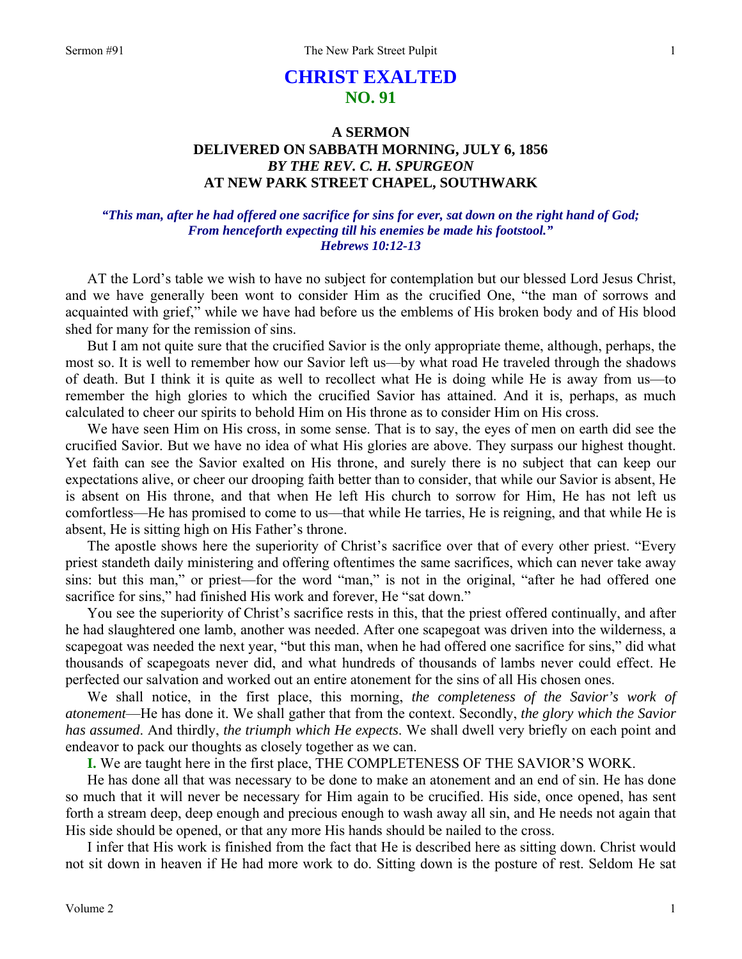# **CHRIST EXALTED NO. 91**

## **A SERMON DELIVERED ON SABBATH MORNING, JULY 6, 1856**  *BY THE REV. C. H. SPURGEON*  **AT NEW PARK STREET CHAPEL, SOUTHWARK**

## *"This man, after he had offered one sacrifice for sins for ever, sat down on the right hand of God; From henceforth expecting till his enemies be made his footstool." Hebrews 10:12-13*

AT the Lord's table we wish to have no subject for contemplation but our blessed Lord Jesus Christ, and we have generally been wont to consider Him as the crucified One, "the man of sorrows and acquainted with grief," while we have had before us the emblems of His broken body and of His blood shed for many for the remission of sins.

But I am not quite sure that the crucified Savior is the only appropriate theme, although, perhaps, the most so. It is well to remember how our Savior left us—by what road He traveled through the shadows of death. But I think it is quite as well to recollect what He is doing while He is away from us—to remember the high glories to which the crucified Savior has attained. And it is, perhaps, as much calculated to cheer our spirits to behold Him on His throne as to consider Him on His cross.

We have seen Him on His cross, in some sense. That is to say, the eyes of men on earth did see the crucified Savior. But we have no idea of what His glories are above. They surpass our highest thought. Yet faith can see the Savior exalted on His throne, and surely there is no subject that can keep our expectations alive, or cheer our drooping faith better than to consider, that while our Savior is absent, He is absent on His throne, and that when He left His church to sorrow for Him, He has not left us comfortless—He has promised to come to us—that while He tarries, He is reigning, and that while He is absent, He is sitting high on His Father's throne.

The apostle shows here the superiority of Christ's sacrifice over that of every other priest. "Every priest standeth daily ministering and offering oftentimes the same sacrifices, which can never take away sins: but this man," or priest—for the word "man," is not in the original, "after he had offered one sacrifice for sins," had finished His work and forever, He "sat down."

You see the superiority of Christ's sacrifice rests in this, that the priest offered continually, and after he had slaughtered one lamb, another was needed. After one scapegoat was driven into the wilderness, a scapegoat was needed the next year, "but this man, when he had offered one sacrifice for sins," did what thousands of scapegoats never did, and what hundreds of thousands of lambs never could effect. He perfected our salvation and worked out an entire atonement for the sins of all His chosen ones.

We shall notice, in the first place, this morning, *the completeness of the Savior's work of atonement*—He has done it. We shall gather that from the context. Secondly, *the glory which the Savior has assumed*. And thirdly, *the triumph which He expects*. We shall dwell very briefly on each point and endeavor to pack our thoughts as closely together as we can.

**I.** We are taught here in the first place, THE COMPLETENESS OF THE SAVIOR'S WORK.

He has done all that was necessary to be done to make an atonement and an end of sin. He has done so much that it will never be necessary for Him again to be crucified. His side, once opened, has sent forth a stream deep, deep enough and precious enough to wash away all sin, and He needs not again that His side should be opened, or that any more His hands should be nailed to the cross.

I infer that His work is finished from the fact that He is described here as sitting down. Christ would not sit down in heaven if He had more work to do. Sitting down is the posture of rest. Seldom He sat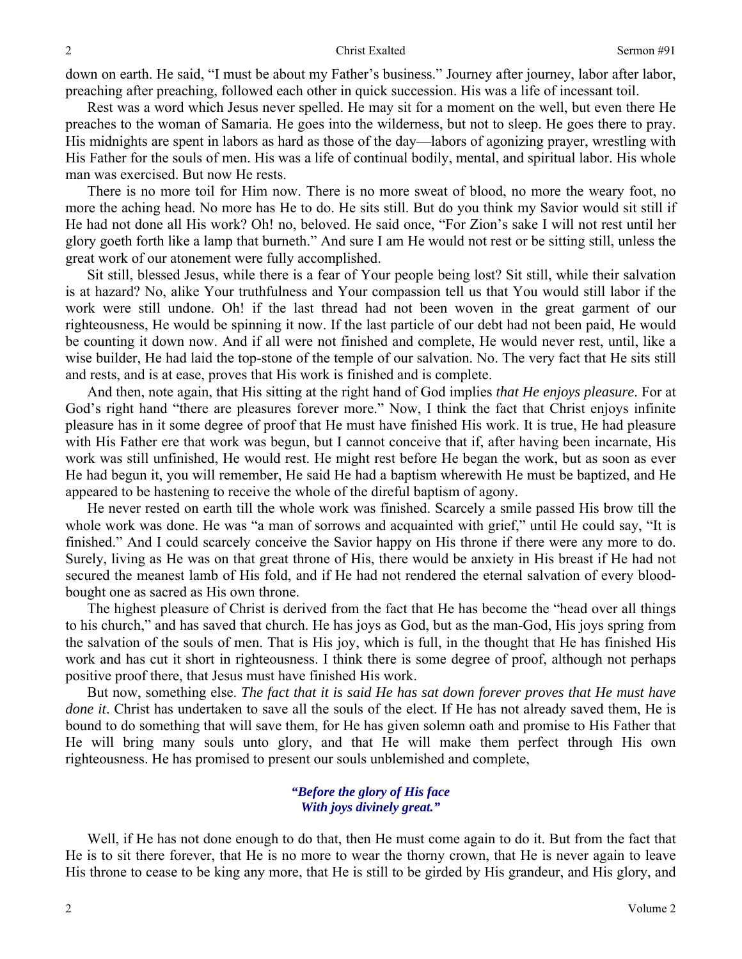down on earth. He said, "I must be about my Father's business." Journey after journey, labor after labor, preaching after preaching, followed each other in quick succession. His was a life of incessant toil.

Rest was a word which Jesus never spelled. He may sit for a moment on the well, but even there He preaches to the woman of Samaria. He goes into the wilderness, but not to sleep. He goes there to pray. His midnights are spent in labors as hard as those of the day—labors of agonizing prayer, wrestling with His Father for the souls of men. His was a life of continual bodily, mental, and spiritual labor. His whole man was exercised. But now He rests.

There is no more toil for Him now. There is no more sweat of blood, no more the weary foot, no more the aching head. No more has He to do. He sits still. But do you think my Savior would sit still if He had not done all His work? Oh! no, beloved. He said once, "For Zion's sake I will not rest until her glory goeth forth like a lamp that burneth." And sure I am He would not rest or be sitting still, unless the great work of our atonement were fully accomplished.

Sit still, blessed Jesus, while there is a fear of Your people being lost? Sit still, while their salvation is at hazard? No, alike Your truthfulness and Your compassion tell us that You would still labor if the work were still undone. Oh! if the last thread had not been woven in the great garment of our righteousness, He would be spinning it now. If the last particle of our debt had not been paid, He would be counting it down now. And if all were not finished and complete, He would never rest, until, like a wise builder, He had laid the top-stone of the temple of our salvation. No. The very fact that He sits still and rests, and is at ease, proves that His work is finished and is complete.

And then, note again, that His sitting at the right hand of God implies *that He enjoys pleasure*. For at God's right hand "there are pleasures forever more." Now, I think the fact that Christ enjoys infinite pleasure has in it some degree of proof that He must have finished His work. It is true, He had pleasure with His Father ere that work was begun, but I cannot conceive that if, after having been incarnate, His work was still unfinished, He would rest. He might rest before He began the work, but as soon as ever He had begun it, you will remember, He said He had a baptism wherewith He must be baptized, and He appeared to be hastening to receive the whole of the direful baptism of agony.

He never rested on earth till the whole work was finished. Scarcely a smile passed His brow till the whole work was done. He was "a man of sorrows and acquainted with grief," until He could say, "It is finished." And I could scarcely conceive the Savior happy on His throne if there were any more to do. Surely, living as He was on that great throne of His, there would be anxiety in His breast if He had not secured the meanest lamb of His fold, and if He had not rendered the eternal salvation of every bloodbought one as sacred as His own throne.

The highest pleasure of Christ is derived from the fact that He has become the "head over all things to his church," and has saved that church. He has joys as God, but as the man-God, His joys spring from the salvation of the souls of men. That is His joy, which is full, in the thought that He has finished His work and has cut it short in righteousness. I think there is some degree of proof, although not perhaps positive proof there, that Jesus must have finished His work.

But now, something else. *The fact that it is said He has sat down forever proves that He must have done it*. Christ has undertaken to save all the souls of the elect. If He has not already saved them, He is bound to do something that will save them, for He has given solemn oath and promise to His Father that He will bring many souls unto glory, and that He will make them perfect through His own righteousness. He has promised to present our souls unblemished and complete,

#### *"Before the glory of His face With joys divinely great."*

Well, if He has not done enough to do that, then He must come again to do it. But from the fact that He is to sit there forever, that He is no more to wear the thorny crown, that He is never again to leave His throne to cease to be king any more, that He is still to be girded by His grandeur, and His glory, and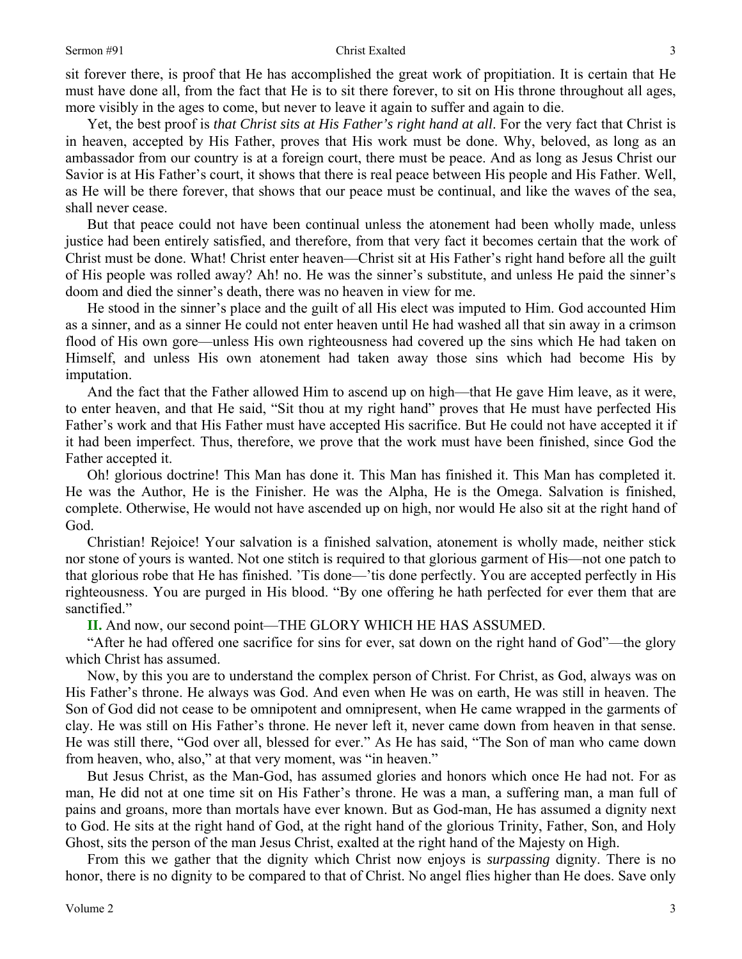sit forever there, is proof that He has accomplished the great work of propitiation. It is certain that He must have done all, from the fact that He is to sit there forever, to sit on His throne throughout all ages, more visibly in the ages to come, but never to leave it again to suffer and again to die.

Yet, the best proof is *that Christ sits at His Father's right hand at all*. For the very fact that Christ is in heaven, accepted by His Father, proves that His work must be done. Why, beloved, as long as an ambassador from our country is at a foreign court, there must be peace. And as long as Jesus Christ our Savior is at His Father's court, it shows that there is real peace between His people and His Father. Well, as He will be there forever, that shows that our peace must be continual, and like the waves of the sea, shall never cease.

But that peace could not have been continual unless the atonement had been wholly made, unless justice had been entirely satisfied, and therefore, from that very fact it becomes certain that the work of Christ must be done. What! Christ enter heaven—Christ sit at His Father's right hand before all the guilt of His people was rolled away? Ah! no. He was the sinner's substitute, and unless He paid the sinner's doom and died the sinner's death, there was no heaven in view for me.

He stood in the sinner's place and the guilt of all His elect was imputed to Him. God accounted Him as a sinner, and as a sinner He could not enter heaven until He had washed all that sin away in a crimson flood of His own gore—unless His own righteousness had covered up the sins which He had taken on Himself, and unless His own atonement had taken away those sins which had become His by imputation.

And the fact that the Father allowed Him to ascend up on high—that He gave Him leave, as it were, to enter heaven, and that He said, "Sit thou at my right hand" proves that He must have perfected His Father's work and that His Father must have accepted His sacrifice. But He could not have accepted it if it had been imperfect. Thus, therefore, we prove that the work must have been finished, since God the Father accepted it.

Oh! glorious doctrine! This Man has done it. This Man has finished it. This Man has completed it. He was the Author, He is the Finisher. He was the Alpha, He is the Omega. Salvation is finished, complete. Otherwise, He would not have ascended up on high, nor would He also sit at the right hand of God.

Christian! Rejoice! Your salvation is a finished salvation, atonement is wholly made, neither stick nor stone of yours is wanted. Not one stitch is required to that glorious garment of His—not one patch to that glorious robe that He has finished. 'Tis done—'tis done perfectly. You are accepted perfectly in His righteousness. You are purged in His blood. "By one offering he hath perfected for ever them that are sanctified."

**II.** And now, our second point—THE GLORY WHICH HE HAS ASSUMED.

"After he had offered one sacrifice for sins for ever, sat down on the right hand of God"—the glory which Christ has assumed.

Now, by this you are to understand the complex person of Christ. For Christ, as God, always was on His Father's throne. He always was God. And even when He was on earth, He was still in heaven. The Son of God did not cease to be omnipotent and omnipresent, when He came wrapped in the garments of clay. He was still on His Father's throne. He never left it, never came down from heaven in that sense. He was still there, "God over all, blessed for ever." As He has said, "The Son of man who came down from heaven, who, also," at that very moment, was "in heaven."

But Jesus Christ, as the Man-God, has assumed glories and honors which once He had not. For as man, He did not at one time sit on His Father's throne. He was a man, a suffering man, a man full of pains and groans, more than mortals have ever known. But as God-man, He has assumed a dignity next to God. He sits at the right hand of God, at the right hand of the glorious Trinity, Father, Son, and Holy Ghost, sits the person of the man Jesus Christ, exalted at the right hand of the Majesty on High.

From this we gather that the dignity which Christ now enjoys is *surpassing* dignity. There is no honor, there is no dignity to be compared to that of Christ. No angel flies higher than He does. Save only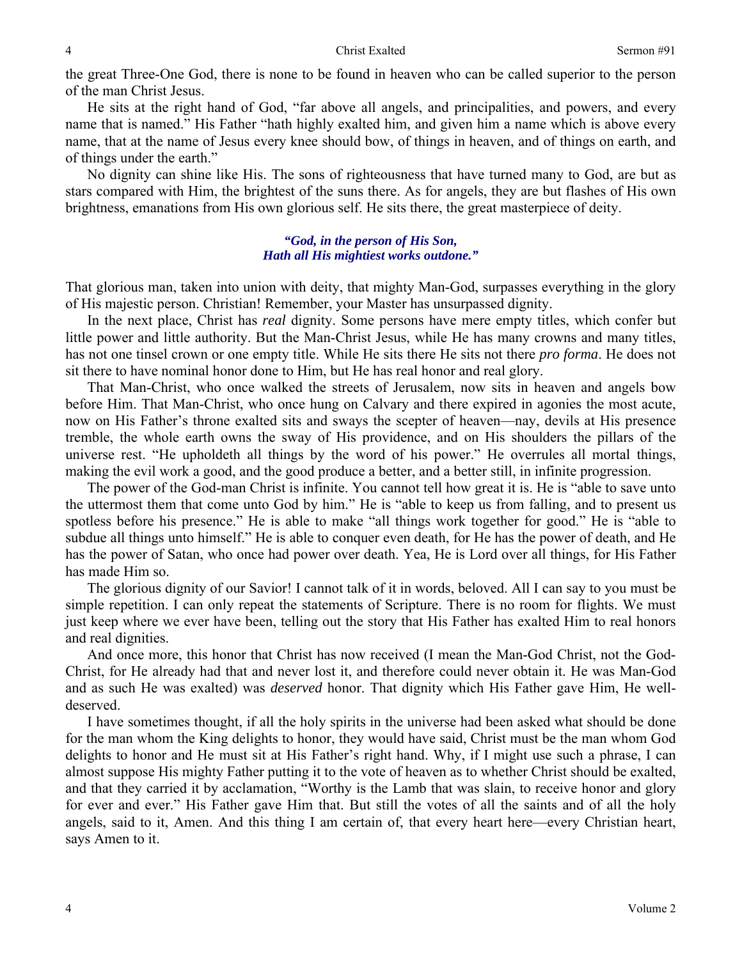the great Three-One God, there is none to be found in heaven who can be called superior to the person of the man Christ Jesus.

He sits at the right hand of God, "far above all angels, and principalities, and powers, and every name that is named." His Father "hath highly exalted him, and given him a name which is above every name, that at the name of Jesus every knee should bow, of things in heaven, and of things on earth, and of things under the earth."

No dignity can shine like His. The sons of righteousness that have turned many to God, are but as stars compared with Him, the brightest of the suns there. As for angels, they are but flashes of His own brightness, emanations from His own glorious self. He sits there, the great masterpiece of deity.

### *"God, in the person of His Son, Hath all His mightiest works outdone."*

That glorious man, taken into union with deity, that mighty Man-God, surpasses everything in the glory of His majestic person. Christian! Remember, your Master has unsurpassed dignity.

In the next place, Christ has *real* dignity. Some persons have mere empty titles, which confer but little power and little authority. But the Man-Christ Jesus, while He has many crowns and many titles, has not one tinsel crown or one empty title. While He sits there He sits not there *pro forma*. He does not sit there to have nominal honor done to Him, but He has real honor and real glory.

That Man-Christ, who once walked the streets of Jerusalem, now sits in heaven and angels bow before Him. That Man-Christ, who once hung on Calvary and there expired in agonies the most acute, now on His Father's throne exalted sits and sways the scepter of heaven—nay, devils at His presence tremble, the whole earth owns the sway of His providence, and on His shoulders the pillars of the universe rest. "He upholdeth all things by the word of his power." He overrules all mortal things, making the evil work a good, and the good produce a better, and a better still, in infinite progression.

The power of the God-man Christ is infinite. You cannot tell how great it is. He is "able to save unto the uttermost them that come unto God by him." He is "able to keep us from falling, and to present us spotless before his presence." He is able to make "all things work together for good." He is "able to subdue all things unto himself." He is able to conquer even death, for He has the power of death, and He has the power of Satan, who once had power over death. Yea, He is Lord over all things, for His Father has made Him so.

The glorious dignity of our Savior! I cannot talk of it in words, beloved. All I can say to you must be simple repetition. I can only repeat the statements of Scripture. There is no room for flights. We must just keep where we ever have been, telling out the story that His Father has exalted Him to real honors and real dignities.

And once more, this honor that Christ has now received (I mean the Man-God Christ, not the God-Christ, for He already had that and never lost it, and therefore could never obtain it. He was Man-God and as such He was exalted) was *deserved* honor. That dignity which His Father gave Him, He welldeserved.

I have sometimes thought, if all the holy spirits in the universe had been asked what should be done for the man whom the King delights to honor, they would have said, Christ must be the man whom God delights to honor and He must sit at His Father's right hand. Why, if I might use such a phrase, I can almost suppose His mighty Father putting it to the vote of heaven as to whether Christ should be exalted, and that they carried it by acclamation, "Worthy is the Lamb that was slain, to receive honor and glory for ever and ever." His Father gave Him that. But still the votes of all the saints and of all the holy angels, said to it, Amen. And this thing I am certain of, that every heart here—every Christian heart, says Amen to it.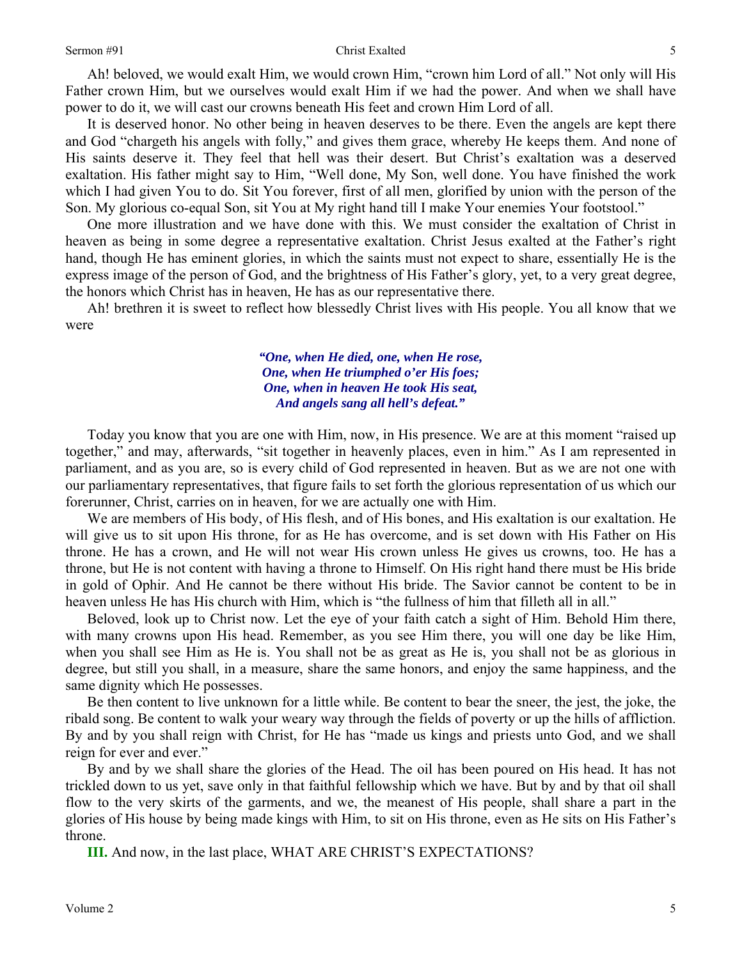#### Sermon #91 Christ Exalted

Ah! beloved, we would exalt Him, we would crown Him, "crown him Lord of all." Not only will His Father crown Him, but we ourselves would exalt Him if we had the power. And when we shall have power to do it, we will cast our crowns beneath His feet and crown Him Lord of all.

It is deserved honor. No other being in heaven deserves to be there. Even the angels are kept there and God "chargeth his angels with folly," and gives them grace, whereby He keeps them. And none of His saints deserve it. They feel that hell was their desert. But Christ's exaltation was a deserved exaltation. His father might say to Him, "Well done, My Son, well done. You have finished the work which I had given You to do. Sit You forever, first of all men, glorified by union with the person of the Son. My glorious co-equal Son, sit You at My right hand till I make Your enemies Your footstool."

One more illustration and we have done with this. We must consider the exaltation of Christ in heaven as being in some degree a representative exaltation. Christ Jesus exalted at the Father's right hand, though He has eminent glories, in which the saints must not expect to share, essentially He is the express image of the person of God, and the brightness of His Father's glory, yet, to a very great degree, the honors which Christ has in heaven, He has as our representative there.

Ah! brethren it is sweet to reflect how blessedly Christ lives with His people. You all know that we were

> *"One, when He died, one, when He rose, One, when He triumphed o'er His foes; One, when in heaven He took His seat, And angels sang all hell's defeat."*

Today you know that you are one with Him, now, in His presence. We are at this moment "raised up together," and may, afterwards, "sit together in heavenly places, even in him." As I am represented in parliament, and as you are, so is every child of God represented in heaven. But as we are not one with our parliamentary representatives, that figure fails to set forth the glorious representation of us which our forerunner, Christ, carries on in heaven, for we are actually one with Him.

We are members of His body, of His flesh, and of His bones, and His exaltation is our exaltation. He will give us to sit upon His throne, for as He has overcome, and is set down with His Father on His throne. He has a crown, and He will not wear His crown unless He gives us crowns, too. He has a throne, but He is not content with having a throne to Himself. On His right hand there must be His bride in gold of Ophir. And He cannot be there without His bride. The Savior cannot be content to be in heaven unless He has His church with Him, which is "the fullness of him that filleth all in all."

Beloved, look up to Christ now. Let the eye of your faith catch a sight of Him. Behold Him there, with many crowns upon His head. Remember, as you see Him there, you will one day be like Him, when you shall see Him as He is. You shall not be as great as He is, you shall not be as glorious in degree, but still you shall, in a measure, share the same honors, and enjoy the same happiness, and the same dignity which He possesses.

Be then content to live unknown for a little while. Be content to bear the sneer, the jest, the joke, the ribald song. Be content to walk your weary way through the fields of poverty or up the hills of affliction. By and by you shall reign with Christ, for He has "made us kings and priests unto God, and we shall reign for ever and ever."

By and by we shall share the glories of the Head. The oil has been poured on His head. It has not trickled down to us yet, save only in that faithful fellowship which we have. But by and by that oil shall flow to the very skirts of the garments, and we, the meanest of His people, shall share a part in the glories of His house by being made kings with Him, to sit on His throne, even as He sits on His Father's throne.

**III.** And now, in the last place, WHAT ARE CHRIST'S EXPECTATIONS?

5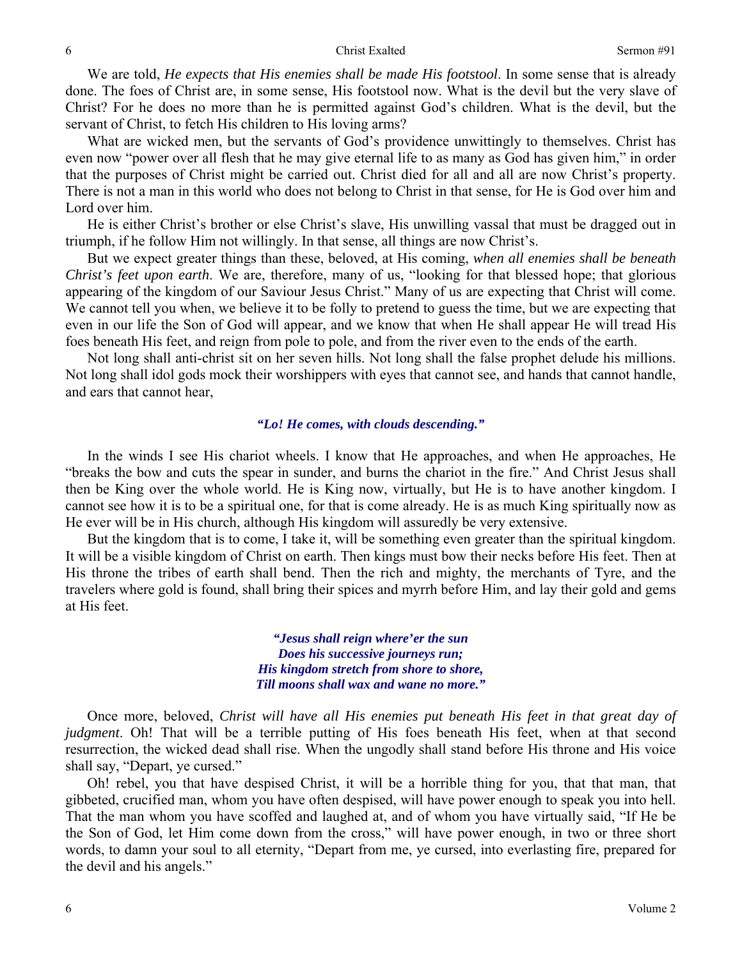We are told, *He expects that His enemies shall be made His footstool*. In some sense that is already done. The foes of Christ are, in some sense, His footstool now. What is the devil but the very slave of Christ? For he does no more than he is permitted against God's children. What is the devil, but the servant of Christ, to fetch His children to His loving arms?

What are wicked men, but the servants of God's providence unwittingly to themselves. Christ has even now "power over all flesh that he may give eternal life to as many as God has given him," in order that the purposes of Christ might be carried out. Christ died for all and all are now Christ's property. There is not a man in this world who does not belong to Christ in that sense, for He is God over him and Lord over him.

He is either Christ's brother or else Christ's slave, His unwilling vassal that must be dragged out in triumph, if he follow Him not willingly. In that sense, all things are now Christ's.

But we expect greater things than these, beloved, at His coming, *when all enemies shall be beneath Christ's feet upon earth*. We are, therefore, many of us, "looking for that blessed hope; that glorious appearing of the kingdom of our Saviour Jesus Christ." Many of us are expecting that Christ will come. We cannot tell you when, we believe it to be folly to pretend to guess the time, but we are expecting that even in our life the Son of God will appear, and we know that when He shall appear He will tread His foes beneath His feet, and reign from pole to pole, and from the river even to the ends of the earth.

Not long shall anti-christ sit on her seven hills. Not long shall the false prophet delude his millions. Not long shall idol gods mock their worshippers with eyes that cannot see, and hands that cannot handle, and ears that cannot hear,

#### *"Lo! He comes, with clouds descending."*

In the winds I see His chariot wheels. I know that He approaches, and when He approaches, He "breaks the bow and cuts the spear in sunder, and burns the chariot in the fire." And Christ Jesus shall then be King over the whole world. He is King now, virtually, but He is to have another kingdom. I cannot see how it is to be a spiritual one, for that is come already. He is as much King spiritually now as He ever will be in His church, although His kingdom will assuredly be very extensive.

But the kingdom that is to come, I take it, will be something even greater than the spiritual kingdom. It will be a visible kingdom of Christ on earth. Then kings must bow their necks before His feet. Then at His throne the tribes of earth shall bend. Then the rich and mighty, the merchants of Tyre, and the travelers where gold is found, shall bring their spices and myrrh before Him, and lay their gold and gems at His feet.

> *"Jesus shall reign where'er the sun Does his successive journeys run; His kingdom stretch from shore to shore, Till moons shall wax and wane no more."*

Once more, beloved, *Christ will have all His enemies put beneath His feet in that great day of judgment*. Oh! That will be a terrible putting of His foes beneath His feet, when at that second resurrection, the wicked dead shall rise. When the ungodly shall stand before His throne and His voice shall say, "Depart, ye cursed."

Oh! rebel, you that have despised Christ, it will be a horrible thing for you, that that man, that gibbeted, crucified man, whom you have often despised, will have power enough to speak you into hell. That the man whom you have scoffed and laughed at, and of whom you have virtually said, "If He be the Son of God, let Him come down from the cross," will have power enough, in two or three short words, to damn your soul to all eternity, "Depart from me, ye cursed, into everlasting fire, prepared for the devil and his angels."